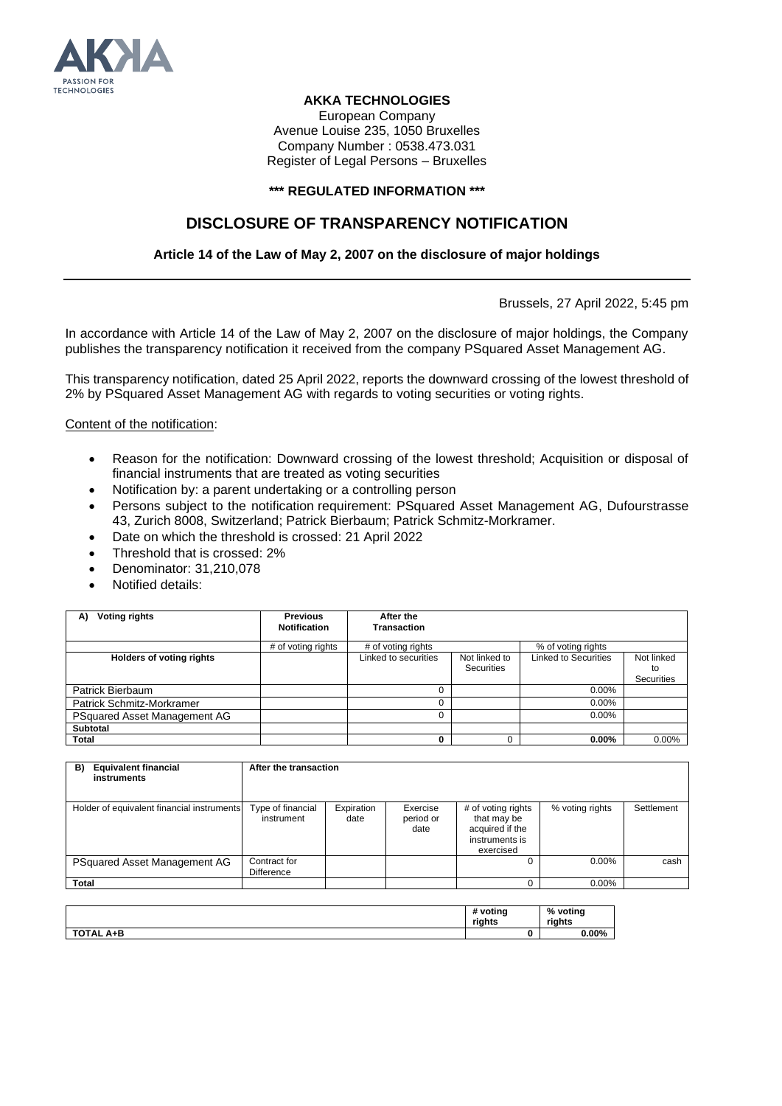

## **AKKA TECHNOLOGIES**

European Company Avenue Louise 235, 1050 Bruxelles Company Number : 0538.473.031 Register of Legal Persons – Bruxelles

## **\*\*\* REGULATED INFORMATION \*\*\***

## **DISCLOSURE OF TRANSPARENCY NOTIFICATION**

## **Article 14 of the Law of May 2, 2007 on the disclosure of major holdings**

Brussels, 27 April 2022, 5:45 pm

In accordance with Article 14 of the Law of May 2, 2007 on the disclosure of major holdings, the Company publishes the transparency notification it received from the company PSquared Asset Management AG.

This transparency notification, dated 25 April 2022, reports the downward crossing of the lowest threshold of 2% by PSquared Asset Management AG with regards to voting securities or voting rights.

Content of the notification:

- Reason for the notification: Downward crossing of the lowest threshold; Acquisition or disposal of financial instruments that are treated as voting securities
- Notification by: a parent undertaking or a controlling person
- Persons subject to the notification requirement: PSquared Asset Management AG, Dufourstrasse 43, Zurich 8008, Switzerland; Patrick Bierbaum; Patrick Schmitz-Morkramer.
- Date on which the threshold is crossed: 21 April 2022
- Threshold that is crossed: 2%
- Denominator: 31,210,078
- Notified details:

| Voting rights<br>A)              | <b>Previous</b>     | After the            |                                    |                             |                  |
|----------------------------------|---------------------|----------------------|------------------------------------|-----------------------------|------------------|
|                                  | <b>Notification</b> | <b>Transaction</b>   |                                    |                             |                  |
|                                  | # of voting rights  | # of voting rights   |                                    | % of voting rights          |                  |
| <b>Holders of voting rights</b>  |                     | Linked to securities | Not linked to<br><b>Securities</b> | <b>Linked to Securities</b> | Not linked<br>to |
|                                  |                     |                      |                                    |                             | Securities       |
| Patrick Bierbaum                 |                     |                      |                                    | $0.00\%$                    |                  |
| <b>Patrick Schmitz-Morkramer</b> |                     |                      |                                    | 0.00%                       |                  |
| PSquared Asset Management AG     |                     |                      |                                    | $0.00\%$                    |                  |
| Subtotal                         |                     |                      |                                    |                             |                  |
| Total                            |                     |                      |                                    | $0.00\%$                    | $0.00\%$         |

| <b>Equivalent financial</b><br>B)<br>instruments | After the transaction             |                    |                               |                                                                                     |                 |            |
|--------------------------------------------------|-----------------------------------|--------------------|-------------------------------|-------------------------------------------------------------------------------------|-----------------|------------|
| Holder of equivalent financial instruments       | Type of financial<br>instrument   | Expiration<br>date | Exercise<br>period or<br>date | # of voting rights<br>that may be<br>acquired if the<br>instruments is<br>exercised | % voting rights | Settlement |
| PSquared Asset Management AG                     | Contract for<br><b>Difference</b> |                    |                               | 0                                                                                   | 0.00%           | cash       |
| <b>Total</b>                                     |                                   |                    |                               |                                                                                     | $0.00\%$        |            |

|                            | # voting<br>riahts | %<br>voting<br>riahts |
|----------------------------|--------------------|-----------------------|
| <b>TOTAL</b><br>A+B<br>'AL |                    | $0.00\%$              |